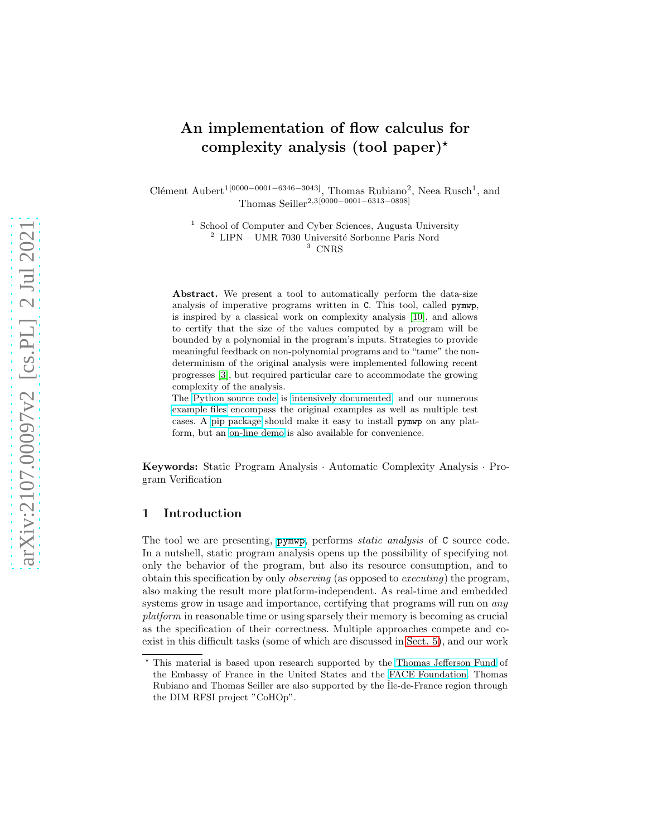# An implementation of flow calculus for complexity analysis (tool paper)<sup>\*</sup>

Clément Aubert<sup>1[0000–0001–6346–3043]</sup>, Thomas Rubiano<sup>2</sup>, Neea Rusch<sup>1</sup>, and Thomas Seiller2,3[0000−0001−6313−0898]

> 1 School of Computer and Cyber Sciences, Augusta University  $^2$  LIPN – UMR 7030 Université Sorbonne Paris Nord <sup>3</sup> CNRS

Abstract. We present a tool to automatically perform the data-size analysis of imperative programs written in C. This tool, called pymwp, is inspired by a classical work on complexity analysis [\[10\]](#page-7-0), and allows to certify that the size of the values computed by a program will be bounded by a polynomial in the program's inputs. Strategies to provide meaningful feedback on non-polynomial programs and to "tame" the nondeterminism of the original analysis were implemented following recent progresses [\[3\]](#page-6-0), but required particular care to accommodate the growing complexity of the analysis.

The [Python source code](https://github.com/seiller/pymwp/) is [intensively documented,](https://seiller.github.io/pymwp/) and our numerous [example files](https://github.com/seiller/pymwp/tree/746da71a5490c5f21ebc5643ea20822f78876959/c_files) encompass the original examples as well as multiple test cases. A [pip package](https://pypi.org/project/pymwp/) should make it easy to install pymwp on any platform, but an [on-line demo](https://seiller.github.io/pymwp/demo/) is also available for convenience.

Keywords: Static Program Analysis · Automatic Complexity Analysis · Program Verification

# 1 Introduction

The tool we are presenting, pymup, performs *static analysis* of C source code. In a nutshell, static program analysis opens up the possibility of specifying not only the behavior of the program, but also its resource consumption, and to obtain this specification by only observing (as opposed to executing) the program, also making the result more platform-independent. As real-time and embedded systems grow in usage and importance, certifying that programs will run on *any* platform in reasonable time or using sparsely their memory is becoming as crucial as the specification of their correctness. Multiple approaches compete and coexist in this difficult tasks (some of which are discussed in [Sect. 5\)](#page-5-0), and our work

<sup>⋆</sup> This material is based upon research supported by the Thomas [Jefferson Fund](https://face-foundation.org/higher-education/thomas-jefferson-fund/) of the Embassy of France in the United States and the [FACE Foundation.](https://face-foundation.org/) Thomas Rubiano and Thomas Seiller are also supported by the  $\tilde{I}$ le-de-France region through the DIM RFSI project "CoHOp".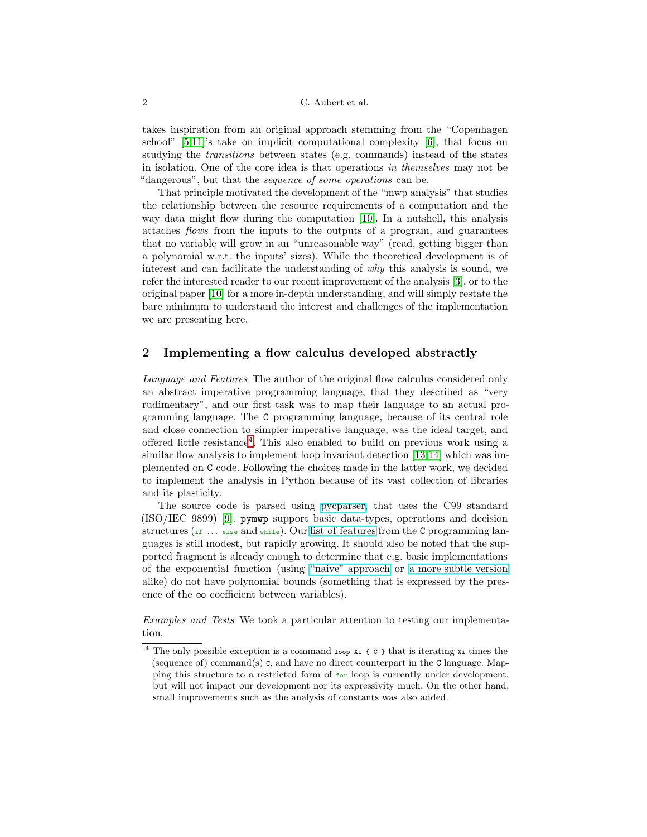#### 2 C. Aubert et al.

takes inspiration from an original approach stemming from the "Copenhagen school"  $[5,11]$  $[5,11]$ 's take on implicit computational complexity  $[6]$ , that focus on studying the transitions between states (e.g. commands) instead of the states in isolation. One of the core idea is that operations in themselves may not be "dangerous", but that the sequence of some operations can be.

That principle motivated the development of the "mwp analysis" that studies the relationship between the resource requirements of a computation and the way data might flow during the computation [\[10\]](#page-7-0). In a nutshell, this analysis attaches flows from the inputs to the outputs of a program, and guarantees that no variable will grow in an "unreasonable way" (read, getting bigger than a polynomial w.r.t. the inputs' sizes). While the theoretical development is of interest and can facilitate the understanding of why this analysis is sound, we refer the interested reader to our recent improvement of the analysis [\[3\]](#page-6-0), or to the original paper [\[10\]](#page-7-0) for a more in-depth understanding, and will simply restate the bare minimum to understand the interest and challenges of the implementation we are presenting here.

# 2 Implementing a flow calculus developed abstractly

Language and Features The author of the original flow calculus considered only an abstract imperative programming language, that they described as "very rudimentary", and our first task was to map their language to an actual programming language. The C programming language, because of its central role and close connection to simpler imperative language, was the ideal target, and offered little resistance[4](#page-1-0) . This also enabled to build on previous work using a similar flow analysis to implement loop invariant detection [\[13](#page-7-2)[,14\]](#page-7-3) which was implemented on C code. Following the choices made in the latter work, we decided to implement the analysis in Python because of its vast collection of libraries and its plasticity.

The source code is parsed using [pycparser,](https://github.com/eliben/pycparser) that uses the C99 standard (ISO/IEC 9899) [\[9\]](#page-7-4). pymwp support basic data-types, operations and decision structures (if  $\ldots$  else and while). Our [list of features](https://seiller.github.io/pymwp/features/) from the C programming languages is still modest, but rapidly growing. It should also be noted that the supported fragment is already enough to determine that e.g. basic implementations of the exponential function (using ["naive" approach](https://github.com/seiller/pymwp/blob/746da71a5490c5f21ebc5643ea20822f78876959/c_files/infinite/exponent_2.c) or [a more subtle version](https://github.com/seiller/pymwp/blob/746da71a5490c5f21ebc5643ea20822f78876959/c_files/infinite/exponent_1.c) alike) do not have polynomial bounds (something that is expressed by the presence of the  $\infty$  coefficient between variables).

Examples and Tests We took a particular attention to testing our implementation.

<span id="page-1-0"></span><sup>4</sup> The only possible exception is a command loop Xi { C } that is iterating Xi times the (sequence of) command(s) c, and have no direct counterpart in the  $C$  language. Mapping this structure to a restricted form of for loop is currently under development, but will not impact our development nor its expressivity much. On the other hand, small improvements such as the analysis of constants was also added.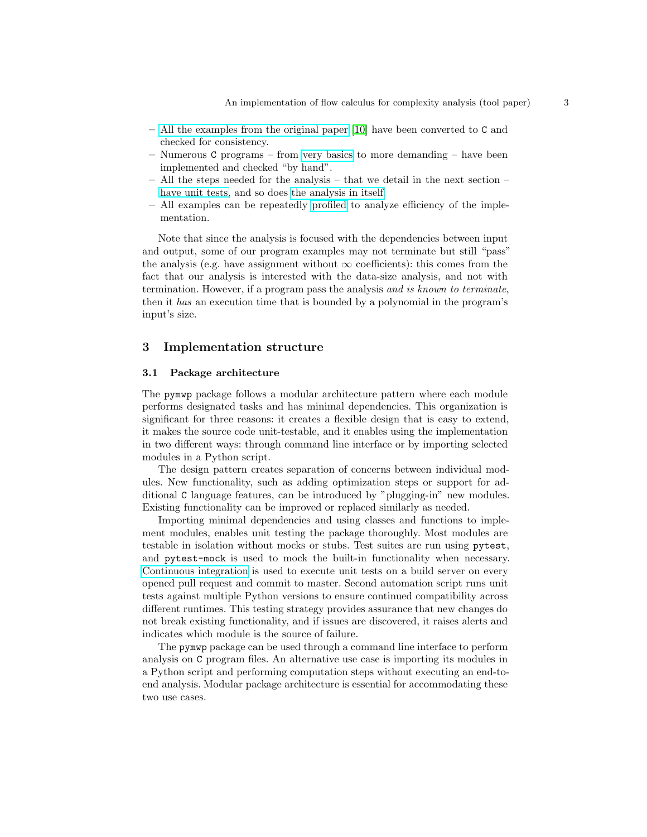- [All the examples from the original paper](https://github.com/seiller/pymwp/tree/746da71a5490c5f21ebc5643ea20822f78876959/c_files/original_paper) [\[10\]](#page-7-0) have been converted to C and checked for consistency.
- Numerous C programs from [very basics](https://github.com/seiller/pymwp/tree/746da71a5490c5f21ebc5643ea20822f78876959/c_files/basics) to more demanding have been implemented and checked "by hand".
- All the steps needed for the analysis that we detail in the next section [have unit tests,](https://github.com/seiller/pymwp/tree/746da71a5490c5f21ebc5643ea20822f78876959/tests) and so does [the analysis in itself.](https://github.com/seiller/pymwp/blob/746da71a5490c5f21ebc5643ea20822f78876959/tests/test_analysis.py)
- All examples can be repeatedly [profiled](https://seiller.github.io/pymwp/utilities/#profiling) to analyze efficiency of the implementation.

Note that since the analysis is focused with the dependencies between input and output, some of our program examples may not terminate but still "pass" the analysis (e.g. have assignment without  $\infty$  coefficients): this comes from the fact that our analysis is interested with the data-size analysis, and not with termination. However, if a program pass the analysis and is known to terminate, then it has an execution time that is bounded by a polynomial in the program's input's size.

## 3 Implementation structure

#### 3.1 Package architecture

The pymwp package follows a modular architecture pattern where each module performs designated tasks and has minimal dependencies. This organization is significant for three reasons: it creates a flexible design that is easy to extend, it makes the source code unit-testable, and it enables using the implementation in two different ways: through command line interface or by importing selected modules in a Python script.

The design pattern creates separation of concerns between individual modules. New functionality, such as adding optimization steps or support for additional C language features, can be introduced by "plugging-in" new modules. Existing functionality can be improved or replaced similarly as needed.

Importing minimal dependencies and using classes and functions to implement modules, enables unit testing the package thoroughly. Most modules are testable in isolation without mocks or stubs. Test suites are run using pytest, and pytest-mock is used to mock the built-in functionality when necessary. [Continuous integration](https://github.com/seiller/pymwp/actions) is used to execute unit tests on a build server on every opened pull request and commit to master. Second automation script runs unit tests against multiple Python versions to ensure continued compatibility across different runtimes. This testing strategy provides assurance that new changes do not break existing functionality, and if issues are discovered, it raises alerts and indicates which module is the source of failure.

The pymwp package can be used through a command line interface to perform analysis on C program files. An alternative use case is importing its modules in a Python script and performing computation steps without executing an end-toend analysis. Modular package architecture is essential for accommodating these two use cases.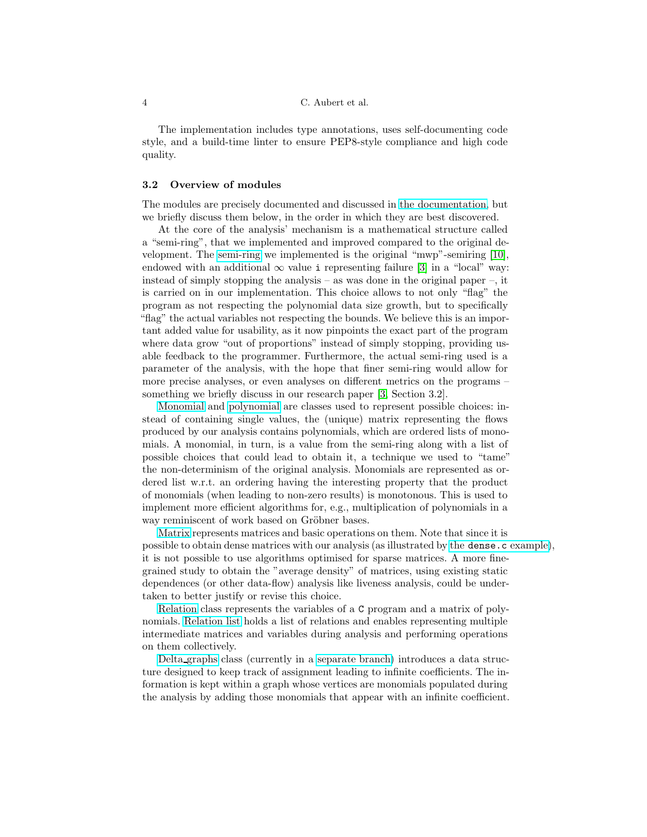#### 4 C. Aubert et al.

The implementation includes type annotations, uses self-documenting code style, and a build-time linter to ensure PEP8-style compliance and high code quality.

## 3.2 Overview of modules

The modules are precisely documented and discussed in [the documentation,](https://seiller.github.io/pymwp/) but we briefly discuss them below, in the order in which they are best discovered.

At the core of the analysis' mechanism is a mathematical structure called a "semi-ring", that we implemented and improved compared to the original development. The [semi-ring](https://seiller.github.io/pymwp/semiring/) we implemented is the original "mwp"-semiring [\[10\]](#page-7-0), endowed with an additional  $\infty$  value i representing failure [\[3\]](#page-6-0) in a "local" way: instead of simply stopping the analysis – as was done in the original paper –, it is carried on in our implementation. This choice allows to not only "flag" the program as not respecting the polynomial data size growth, but to specifically "flag" the actual variables not respecting the bounds. We believe this is an important added value for usability, as it now pinpoints the exact part of the program where data grow "out of proportions" instead of simply stopping, providing usable feedback to the programmer. Furthermore, the actual semi-ring used is a parameter of the analysis, with the hope that finer semi-ring would allow for more precise analyses, or even analyses on different metrics on the programs – something we briefly discuss in our research paper [\[3,](#page-6-0) Section 3.2].

[Monomial](https://seiller.github.io/pymwp/monomial/) and [polynomial](https://seiller.github.io/pymwp/polynomial/) are classes used to represent possible choices: instead of containing single values, the (unique) matrix representing the flows produced by our analysis contains polynomials, which are ordered lists of monomials. A monomial, in turn, is a value from the semi-ring along with a list of possible choices that could lead to obtain it, a technique we used to "tame" the non-determinism of the original analysis. Monomials are represented as ordered list w.r.t. an ordering having the interesting property that the product of monomials (when leading to non-zero results) is monotonous. This is used to implement more efficient algorithms for, e.g., multiplication of polynomials in a way reminiscent of work based on Gröbner bases.

[Matrix](https://seiller.github.io/pymwp/matrix/) represents matrices and basic operations on them. Note that since it is possible to obtain dense matrices with our analysis (as illustrated by the dense.c [example\)](https://github.com/seiller/pymwp/blob/746da71a5490c5f21ebc5643ea20822f78876959/c_files/other/dense.c), it is not possible to use algorithms optimised for sparse matrices. A more finegrained study to obtain the "average density" of matrices, using existing static dependences (or other data-flow) analysis like liveness analysis, could be undertaken to better justify or revise this choice.

[Relation](https://seiller.github.io/pymwp/relation/) class represents the variables of a C program and a matrix of polynomials. [Relation list](https://seiller.github.io/pymwp/relation_list/) holds a list of relations and enables representing multiple intermediate matrices and variables during analysis and performing operations on them collectively.

Delta [graphs](https://github.com/seiller/pymwp/blob/946a5b44692325095392694950ed03807f059b52/pymwp/delta_graphs.py) class (currently in a [separate branch\)](https://github.com/seiller/pymwp/tree/delta_graphs) introduces a data structure designed to keep track of assignment leading to infinite coefficients. The information is kept within a graph whose vertices are monomials populated during the analysis by adding those monomials that appear with an infinite coefficient.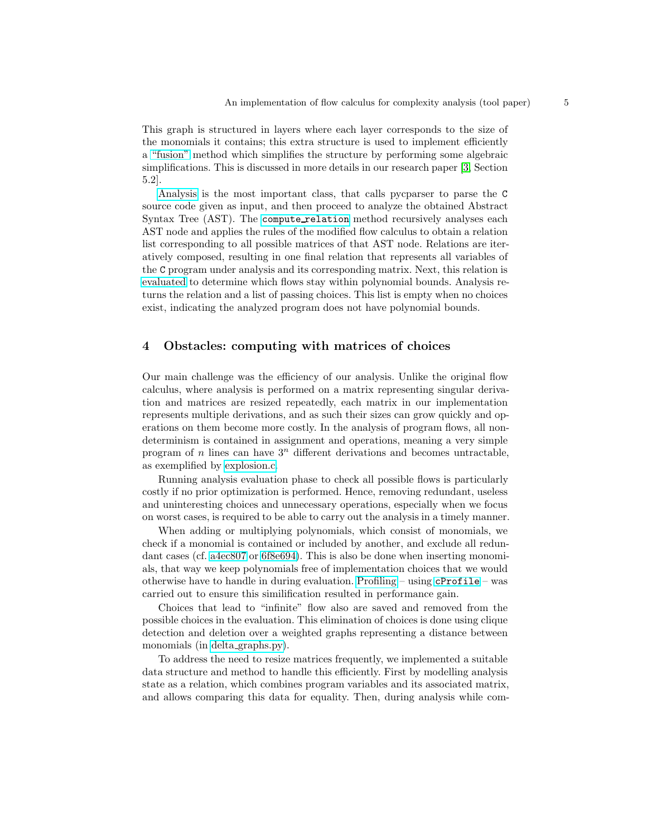This graph is structured in layers where each layer corresponds to the size of the monomials it contains; this extra structure is used to implement efficiently a ["fusion"](https://github.com/seiller/pymwp/blob/946a5b44692325095392694950ed03807f059b52/pymwp/delta_graphs.py#L274) method which simplifies the structure by performing some algebraic simplifications. This is discussed in more details in our research paper [\[3,](#page-6-0) Section 5.2].

[Analysis](https://seiller.github.io/pymwp/analysis/) is the most important class, that calls pycparser to parse the C source code given as input, and then proceed to analyze the obtained Abstract Syntax Tree (AST). The compute [relation](https://github.com/seiller/pymwp/blob/746da71a5490c5f21ebc5643ea20822f78876959/pymwp/analysis.py#L74) method recursively analyses each AST node and applies the rules of the modified flow calculus to obtain a relation list corresponding to all possible matrices of that AST node. Relations are iteratively composed, resulting in one final relation that represents all variables of the C program under analysis and its corresponding matrix. Next, this relation is [evaluated](https://github.com/seiller/pymwp/blob/746da71a5490c5f21ebc5643ea20822f78876959/pymwp/analysis.py#L61) to determine which flows stay within polynomial bounds. Analysis returns the relation and a list of passing choices. This list is empty when no choices exist, indicating the analyzed program does not have polynomial bounds.

# 4 Obstacles: computing with matrices of choices

Our main challenge was the efficiency of our analysis. Unlike the original flow calculus, where analysis is performed on a matrix representing singular derivation and matrices are resized repeatedly, each matrix in our implementation represents multiple derivations, and as such their sizes can grow quickly and operations on them become more costly. In the analysis of program flows, all nondeterminism is contained in assignment and operations, meaning a very simple program of n lines can have  $3<sup>n</sup>$  different derivations and becomes untractable, as exemplified by [explosion.c.](https://github.com/seiller/pymwp/blob/746da71a5490c5f21ebc5643ea20822f78876959/c_files/other/explosion.c)

Running analysis evaluation phase to check all possible flows is particularly costly if no prior optimization is performed. Hence, removing redundant, useless and uninteresting choices and unnecessary operations, especially when we focus on worst cases, is required to be able to carry out the analysis in a timely manner.

When adding or multiplying polynomials, which consist of monomials, we check if a monomial is contained or included by another, and exclude all redundant cases (cf. [a4ec807](https://github.com/seiller/pymwp/commit/a4ec8073508de9df0ae64e7bf99fdf9462453fd2) or [6f8e694\)](https://github.com/seiller/pymwp/commit/6f8e6941854e2a6bae66cbbeaed6540ed7e03065). This is also be done when inserting monomials, that way we keep polynomials free of implementation choices that we would otherwise have to handle in during evaluation. [Profiling](https://github.com/seiller/pymwp/issues/17) – using [cProfile](https://docs.python.org/3/library/profile.html) – was carried out to ensure this similification resulted in performance gain.

Choices that lead to "infinite" flow also are saved and removed from the possible choices in the evaluation. This elimination of choices is done using clique detection and deletion over a weighted graphs representing a distance between monomials (in delta [graphs.py\)](https://github.com/seiller/pymwp/blob/5edf5f20a25bf13862ac609a4189d412ac09689a/pymwp/delta_graphs.py).

To address the need to resize matrices frequently, we implemented a suitable data structure and method to handle this efficiently. First by modelling analysis state as a relation, which combines program variables and its associated matrix, and allows comparing this data for equality. Then, during analysis while com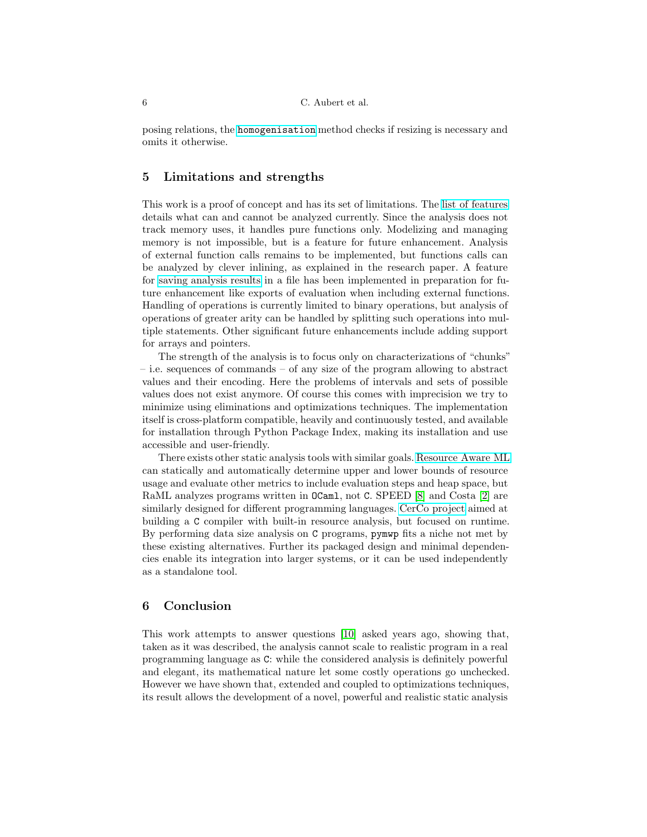posing relations, the [homogenisation](https://github.com/seiller/pymwp/blob/746da71a5490c5f21ebc5643ea20822f78876959/pymwp/relation.py#L345) method checks if resizing is necessary and omits it otherwise.

# <span id="page-5-0"></span>5 Limitations and strengths

This work is a proof of concept and has its set of limitations. The list of [features](https://seiller.github.io/pymwp/features/) details what can and cannot be analyzed currently. Since the analysis does not track memory uses, it handles pure functions only. Modelizing and managing memory is not impossible, but is a feature for future enhancement. Analysis of external function calls remains to be implemented, but functions calls can be analyzed by clever inlining, as explained in the research paper. A feature for [saving analysis results](https://github.com/seiller/pymwp/blob/746da71a5490c5f21ebc5643ea20822f78876959/pymwp/file_io.py#L28) in a file has been implemented in preparation for future enhancement like exports of evaluation when including external functions. Handling of operations is currently limited to binary operations, but analysis of operations of greater arity can be handled by splitting such operations into multiple statements. Other significant future enhancements include adding support for arrays and pointers.

The strength of the analysis is to focus only on characterizations of "chunks" – i.e. sequences of commands – of any size of the program allowing to abstract values and their encoding. Here the problems of intervals and sets of possible values does not exist anymore. Of course this comes with imprecision we try to minimize using eliminations and optimizations techniques. The implementation itself is cross-platform compatible, heavily and continuously tested, and available for installation through Python Package Index, making its installation and use accessible and user-friendly.

There exists other static analysis tools with similar goals. [Resource Aware ML](https://www.raml.co/) can statically and automatically determine upper and lower bounds of resource usage and evaluate other metrics to include evaluation steps and heap space, but RaML analyzes programs written in OCaml, not C. SPEED [\[8\]](#page-6-3) and Costa [\[2\]](#page-6-4) are similarly designed for different programming languages. [CerCo project](http://cerco.cs.unibo.it/) aimed at building a C compiler with built-in resource analysis, but focused on runtime. By performing data size analysis on C programs, pymwp fits a niche not met by these existing alternatives. Further its packaged design and minimal dependencies enable its integration into larger systems, or it can be used independently as a standalone tool.

## 6 Conclusion

This work attempts to answer questions [\[10\]](#page-7-0) asked years ago, showing that, taken as it was described, the analysis cannot scale to realistic program in a real programming language as C: while the considered analysis is definitely powerful and elegant, its mathematical nature let some costly operations go unchecked. However we have shown that, extended and coupled to optimizations techniques, its result allows the development of a novel, powerful and realistic static analysis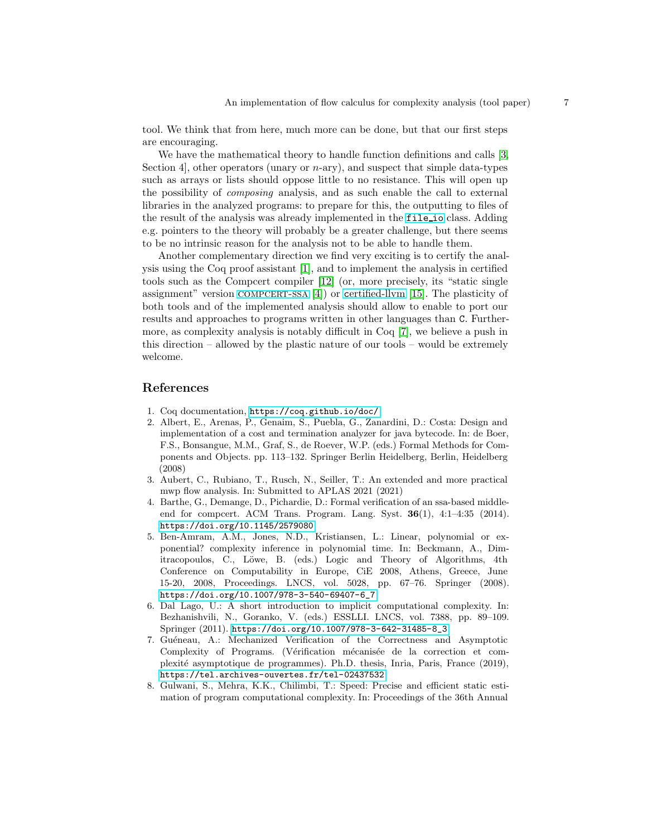tool. We think that from here, much more can be done, but that our first steps are encouraging.

We have the mathematical theory to handle function definitions and calls [\[3,](#page-6-0) Section 4, other operators (unary or  $n$ -ary), and suspect that simple data-types such as arrays or lists should oppose little to no resistance. This will open up the possibility of composing analysis, and as such enable the call to external libraries in the analyzed programs: to prepare for this, the outputting to files of the result of the analysis was already implemented in the [file](https://github.com/seiller/pymwp/blob/master/pymwp/file_io.py) io class. Adding e.g. pointers to the theory will probably be a greater challenge, but there seems to be no intrinsic reason for the analysis not to be able to handle them.

Another complementary direction we find very exciting is to certify the analysis using the Coq proof assistant [\[1\]](#page-6-5), and to implement the analysis in certified tools such as the Compcert compiler [\[12\]](#page-7-5) (or, more precisely, its "static single assignment" version COMPCERT-SSA  $[4]$ ) or c[ertified-llvm](https://www.cis.upenn.edu/~stevez/vellvm/) [\[15\]](#page-7-6). The plasticity of both tools and of the implemented analysis should allow to enable to port our results and approaches to programs written in other languages than C. Furthermore, as complexity analysis is notably difficult in Coq [\[7\]](#page-6-7), we believe a push in this direction – allowed by the plastic nature of our tools – would be extremely welcome.

## <span id="page-6-5"></span>References

- <span id="page-6-4"></span>1. Coq documentation, <https://coq.github.io/doc/>
- 2. Albert, E., Arenas, P., Genaim, S., Puebla, G., Zanardini, D.: Costa: Design and implementation of a cost and termination analyzer for java bytecode. In: de Boer, F.S., Bonsangue, M.M., Graf, S., de Roever, W.P. (eds.) Formal Methods for Components and Objects. pp. 113–132. Springer Berlin Heidelberg, Berlin, Heidelberg (2008)
- <span id="page-6-0"></span>3. Aubert, C., Rubiano, T., Rusch, N., Seiller, T.: An extended and more practical mwp flow analysis. In: Submitted to APLAS 2021 (2021)
- <span id="page-6-6"></span>4. Barthe, G., Demange, D., Pichardie, D.: Formal verification of an ssa-based middleend for compcert. ACM Trans. Program. Lang. Syst. 36(1), 4:1–4:35 (2014). <https://doi.org/10.1145/2579080>
- <span id="page-6-1"></span>5. Ben-Amram, A.M., Jones, N.D., Kristiansen, L.: Linear, polynomial or exponential? complexity inference in polynomial time. In: Beckmann, A., Dimitracopoulos, C., Löwe, B. (eds.) Logic and Theory of Algorithms, 4th Conference on Computability in Europe, CiE 2008, Athens, Greece, June 15-20, 2008, Proceedings. LNCS, vol. 5028, pp. 67–76. Springer (2008). [https://doi.org/10.1007/978-3-540-69407-6\\_7](https://doi.org/10.1007/978-3-540-69407-6_7)
- <span id="page-6-2"></span>6. Dal Lago, U.: A short introduction to implicit computational complexity. In: Bezhanishvili, N., Goranko, V. (eds.) ESSLLI. LNCS, vol. 7388, pp. 89–109. Springer (2011). [https://doi.org/10.1007/978-3-642-31485-8\\_3](https://doi.org/10.1007/978-3-642-31485-8_3)
- <span id="page-6-7"></span>7. Guéneau, A.: Mechanized Verification of the Correctness and Asymptotic Complexity of Programs. (Vérification mécanisée de la correction et complexit´e asymptotique de programmes). Ph.D. thesis, Inria, Paris, France (2019), <https://tel.archives-ouvertes.fr/tel-02437532>
- <span id="page-6-3"></span>8. Gulwani, S., Mehra, K.K., Chilimbi, T.: Speed: Precise and efficient static estimation of program computational complexity. In: Proceedings of the 36th Annual